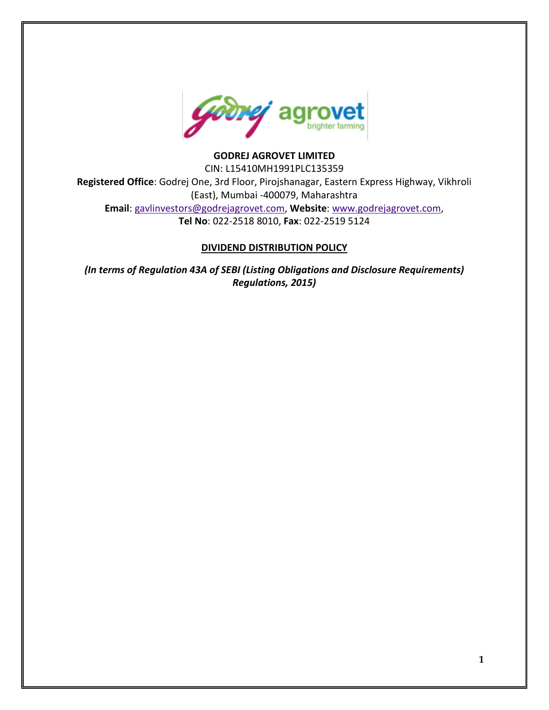

## **GODREJ AGROVET LIMITED**

CIN: L15410MH1991PLC135359 **Registered Office**: Godrej One, 3rd Floor, Pirojshanagar, Eastern Express Highway, Vikhroli (East), Mumbai -400079, Maharashtra **Email**: [gavlinvestors@godrejagrovet.com,](mailto:gavlinvestors@godrejagrovet.com) **Website**: [www.godrejagrovet.com,](http://www.godrejagrovet.com/) **Tel No**: 022-2518 8010, **Fax**: 022-2519 5124

#### **DIVIDEND DISTRIBUTION POLICY**

*(In terms of Regulation 43A of SEBI (Listing Obligations and Disclosure Requirements) Regulations, 2015)*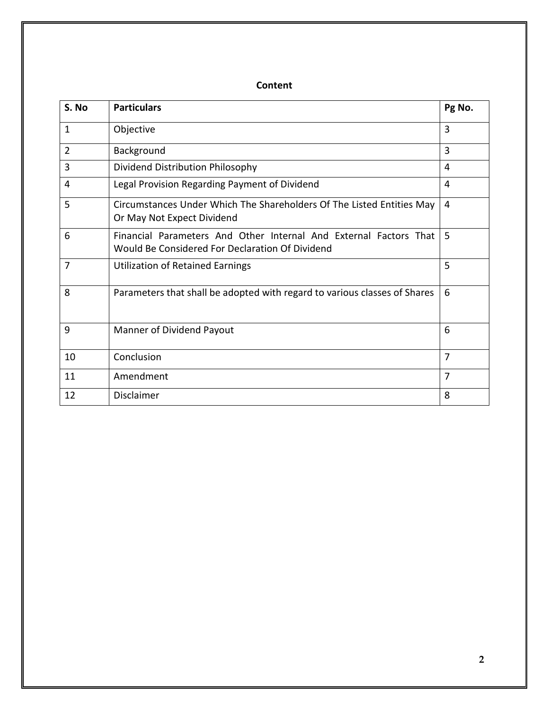# **Content**

| S. No          | <b>Particulars</b>                                                                                                   | Pg No.         |
|----------------|----------------------------------------------------------------------------------------------------------------------|----------------|
| $\mathbf{1}$   | Objective                                                                                                            | 3              |
| $\overline{2}$ | Background                                                                                                           | 3              |
| 3              | Dividend Distribution Philosophy                                                                                     | 4              |
| 4              | Legal Provision Regarding Payment of Dividend                                                                        | 4              |
| 5              | Circumstances Under Which The Shareholders Of The Listed Entities May<br>Or May Not Expect Dividend                  | 4              |
| 6              | Financial Parameters And Other Internal And External Factors That<br>Would Be Considered For Declaration Of Dividend | 5              |
| 7              | <b>Utilization of Retained Earnings</b>                                                                              | 5              |
| 8              | Parameters that shall be adopted with regard to various classes of Shares                                            | 6              |
| 9              | Manner of Dividend Payout                                                                                            | 6              |
| 10             | Conclusion                                                                                                           | 7              |
| 11             | Amendment                                                                                                            | $\overline{7}$ |
| 12             | Disclaimer                                                                                                           | 8              |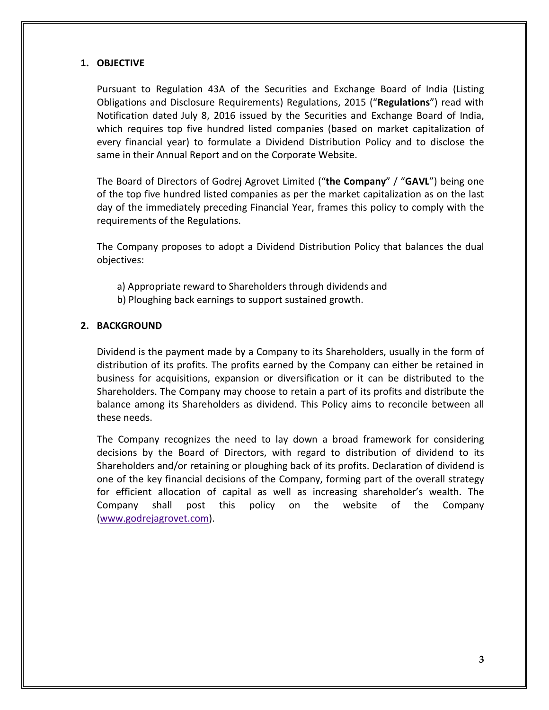#### **1. OBJECTIVE**

Pursuant to Regulation 43A of the Securities and Exchange Board of India (Listing Obligations and Disclosure Requirements) Regulations, 2015 ("**Regulations**") read with Notification dated July 8, 2016 issued by the Securities and Exchange Board of India, which requires top five hundred listed companies (based on market capitalization of every financial year) to formulate a Dividend Distribution Policy and to disclose the same in their Annual Report and on the Corporate Website.

The Board of Directors of Godrej Agrovet Limited ("**the Company**" / "**GAVL**") being one of the top five hundred listed companies as per the market capitalization as on the last day of the immediately preceding Financial Year, frames this policy to comply with the requirements of the Regulations.

The Company proposes to adopt a Dividend Distribution Policy that balances the dual objectives:

- a) Appropriate reward to Shareholders through dividends and
- b) Ploughing back earnings to support sustained growth.

### **2. BACKGROUND**

Dividend is the payment made by a Company to its Shareholders, usually in the form of distribution of its profits. The profits earned by the Company can either be retained in business for acquisitions, expansion or diversification or it can be distributed to the Shareholders. The Company may choose to retain a part of its profits and distribute the balance among its Shareholders as dividend. This Policy aims to reconcile between all these needs.

The Company recognizes the need to lay down a broad framework for considering decisions by the Board of Directors, with regard to distribution of dividend to its Shareholders and/or retaining or ploughing back of its profits. Declaration of dividend is one of the key financial decisions of the Company, forming part of the overall strategy for efficient allocation of capital as well as increasing shareholder's wealth. The Company shall post this policy on the website of the Company [\(www.godrejagrovet.com\)](http://www.godrejagrovet.com/).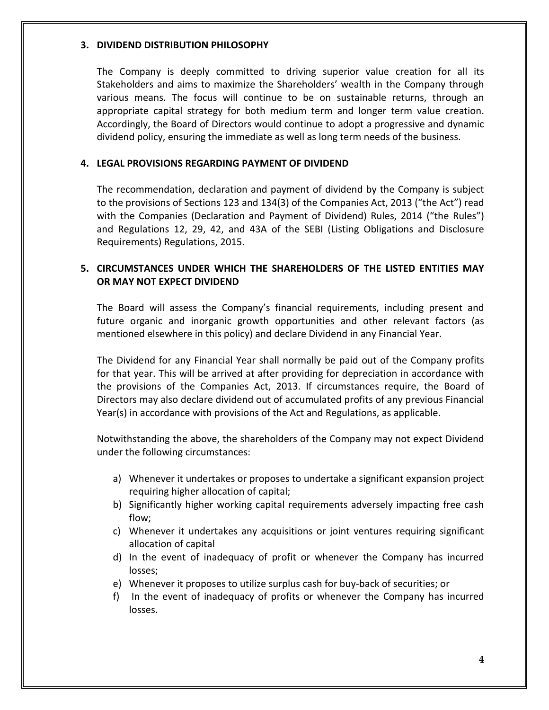#### **3. DIVIDEND DISTRIBUTION PHILOSOPHY**

The Company is deeply committed to driving superior value creation for all its Stakeholders and aims to maximize the Shareholders' wealth in the Company through various means. The focus will continue to be on sustainable returns, through an appropriate capital strategy for both medium term and longer term value creation. Accordingly, the Board of Directors would continue to adopt a progressive and dynamic dividend policy, ensuring the immediate as well as long term needs of the business.

### **4. LEGAL PROVISIONS REGARDING PAYMENT OF DIVIDEND**

The recommendation, declaration and payment of dividend by the Company is subject to the provisions of Sections 123 and 134(3) of the Companies Act, 2013 ("the Act") read with the Companies (Declaration and Payment of Dividend) Rules, 2014 ("the Rules") and Regulations 12, 29, 42, and 43A of the SEBI (Listing Obligations and Disclosure Requirements) Regulations, 2015.

# **5. CIRCUMSTANCES UNDER WHICH THE SHAREHOLDERS OF THE LISTED ENTITIES MAY OR MAY NOT EXPECT DIVIDEND**

The Board will assess the Company's financial requirements, including present and future organic and inorganic growth opportunities and other relevant factors (as mentioned elsewhere in this policy) and declare Dividend in any Financial Year.

The Dividend for any Financial Year shall normally be paid out of the Company profits for that year. This will be arrived at after providing for depreciation in accordance with the provisions of the Companies Act, 2013. If circumstances require, the Board of Directors may also declare dividend out of accumulated profits of any previous Financial Year(s) in accordance with provisions of the Act and Regulations, as applicable.

Notwithstanding the above, the shareholders of the Company may not expect Dividend under the following circumstances:

- a) Whenever it undertakes or proposes to undertake a significant expansion project requiring higher allocation of capital;
- b) Significantly higher working capital requirements adversely impacting free cash flow;
- c) Whenever it undertakes any acquisitions or joint ventures requiring significant allocation of capital
- d) In the event of inadequacy of profit or whenever the Company has incurred losses;
- e) Whenever it proposes to utilize surplus cash for buy-back of securities; or
- f) In the event of inadequacy of profits or whenever the Company has incurred losses.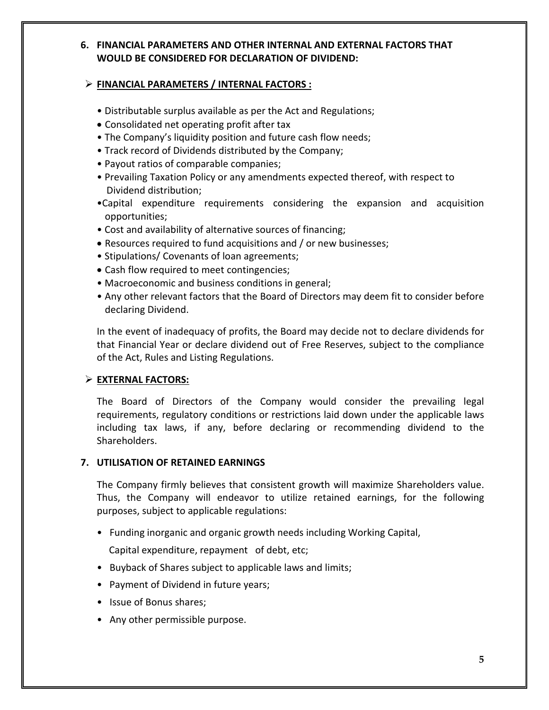# **6. FINANCIAL PARAMETERS AND OTHER INTERNAL AND EXTERNAL FACTORS THAT WOULD BE CONSIDERED FOR DECLARATION OF DIVIDEND:**

### **FINANCIAL PARAMETERS / INTERNAL FACTORS :**

- Distributable surplus available as per the Act and Regulations;
- Consolidated net operating profit after tax
- The Company's liquidity position and future cash flow needs;
- Track record of Dividends distributed by the Company;
- Payout ratios of comparable companies;
- Prevailing Taxation Policy or any amendments expected thereof, with respect to Dividend distribution;
- •Capital expenditure requirements considering the expansion and acquisition opportunities;
- Cost and availability of alternative sources of financing;
- Resources required to fund acquisitions and / or new businesses;
- Stipulations/ Covenants of loan agreements;
- Cash flow required to meet contingencies;
- Macroeconomic and business conditions in general;
- Any other relevant factors that the Board of Directors may deem fit to consider before declaring Dividend.

In the event of inadequacy of profits, the Board may decide not to declare dividends for that Financial Year or declare dividend out of Free Reserves, subject to the compliance of the Act, Rules and Listing Regulations.

# **EXTERNAL FACTORS:**

The Board of Directors of the Company would consider the prevailing legal requirements, regulatory conditions or restrictions laid down under the applicable laws including tax laws, if any, before declaring or recommending dividend to the Shareholders.

## **7. UTILISATION OF RETAINED EARNINGS**

The Company firmly believes that consistent growth will maximize Shareholders value. Thus, the Company will endeavor to utilize retained earnings, for the following purposes, subject to applicable regulations:

• Funding inorganic and organic growth needs including Working Capital,

Capital expenditure, repayment of debt, etc;

- Buyback of Shares subject to applicable laws and limits;
- Payment of Dividend in future years;
- Issue of Bonus shares;
- Any other permissible purpose.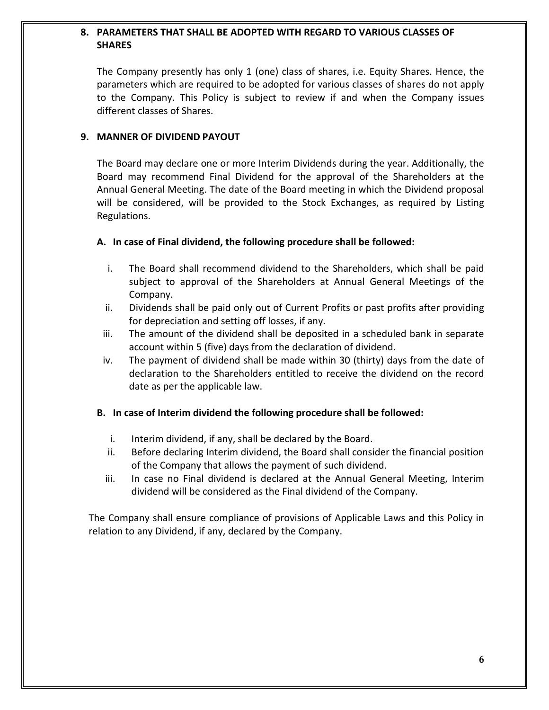## **8. PARAMETERS THAT SHALL BE ADOPTED WITH REGARD TO VARIOUS CLASSES OF SHARES**

The Company presently has only 1 (one) class of shares, i.e. Equity Shares. Hence, the parameters which are required to be adopted for various classes of shares do not apply to the Company. This Policy is subject to review if and when the Company issues different classes of Shares.

#### **9. MANNER OF DIVIDEND PAYOUT**

The Board may declare one or more Interim Dividends during the year. Additionally, the Board may recommend Final Dividend for the approval of the Shareholders at the Annual General Meeting. The date of the Board meeting in which the Dividend proposal will be considered, will be provided to the Stock Exchanges, as required by Listing Regulations.

### **A. In case of Final dividend, the following procedure shall be followed:**

- i. The Board shall recommend dividend to the Shareholders, which shall be paid subject to approval of the Shareholders at Annual General Meetings of the Company.
- ii. Dividends shall be paid only out of Current Profits or past profits after providing for depreciation and setting off losses, if any.
- iii. The amount of the dividend shall be deposited in a scheduled bank in separate account within 5 (five) days from the declaration of dividend.
- iv. The payment of dividend shall be made within 30 (thirty) days from the date of declaration to the Shareholders entitled to receive the dividend on the record date as per the applicable law.

### **B. In case of Interim dividend the following procedure shall be followed:**

- i. Interim dividend, if any, shall be declared by the Board.
- ii. Before declaring Interim dividend, the Board shall consider the financial position of the Company that allows the payment of such dividend.
- iii. In case no Final dividend is declared at the Annual General Meeting, Interim dividend will be considered as the Final dividend of the Company.

The Company shall ensure compliance of provisions of Applicable Laws and this Policy in relation to any Dividend, if any, declared by the Company.